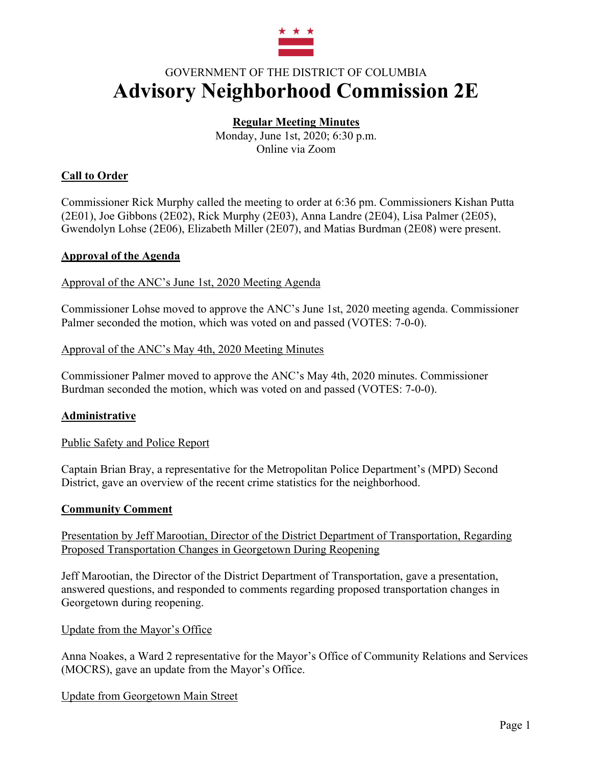

# GOVERNMENT OF THE DISTRICT OF COLUMBIA **Advisory Neighborhood Commission 2E**

# **Regular Meeting Minutes**

Monday, June 1st, 2020; 6:30 p.m. Online via Zoom

# **Call to Order**

Commissioner Rick Murphy called the meeting to order at 6:36 pm. Commissioners Kishan Putta (2E01), Joe Gibbons (2E02), Rick Murphy (2E03), Anna Landre (2E04), Lisa Palmer (2E05), Gwendolyn Lohse (2E06), Elizabeth Miller (2E07), and Matias Burdman (2E08) were present.

## **Approval of the Agenda**

Approval of the ANC's June 1st, 2020 Meeting Agenda

Commissioner Lohse moved to approve the ANC's June 1st, 2020 meeting agenda. Commissioner Palmer seconded the motion, which was voted on and passed (VOTES: 7-0-0).

## Approval of the ANC's May 4th, 2020 Meeting Minutes

Commissioner Palmer moved to approve the ANC's May 4th, 2020 minutes. Commissioner Burdman seconded the motion, which was voted on and passed (VOTES: 7-0-0).

# **Administrative**

Public Safety and Police Report

Captain Brian Bray, a representative for the Metropolitan Police Department's (MPD) Second District, gave an overview of the recent crime statistics for the neighborhood.

#### **Community Comment**

Presentation by Jeff Marootian, Director of the District Department of Transportation, Regarding Proposed Transportation Changes in Georgetown During Reopening

Jeff Marootian, the Director of the District Department of Transportation, gave a presentation, answered questions, and responded to comments regarding proposed transportation changes in Georgetown during reopening.

Update from the Mayor's Office

Anna Noakes, a Ward 2 representative for the Mayor's Office of Community Relations and Services (MOCRS), gave an update from the Mayor's Office.

Update from Georgetown Main Street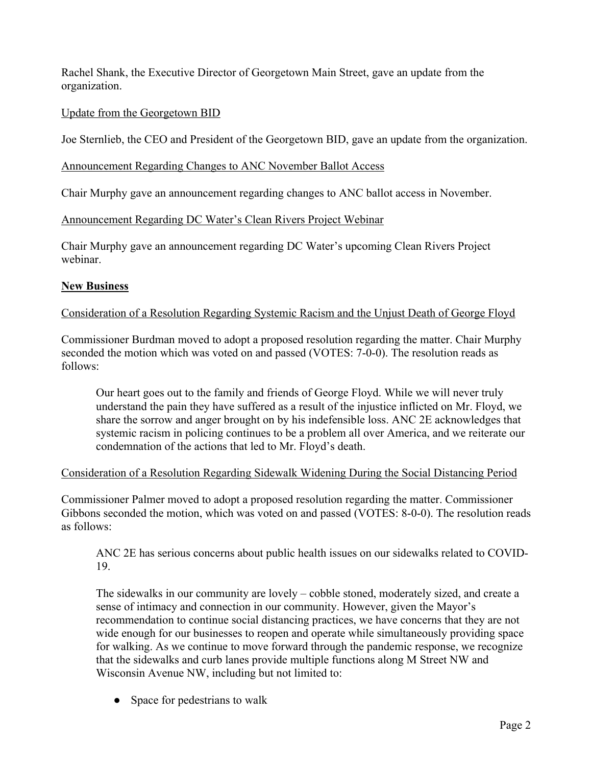Rachel Shank, the Executive Director of Georgetown Main Street, gave an update from the organization.

## Update from the Georgetown BID

Joe Sternlieb, the CEO and President of the Georgetown BID, gave an update from the organization.

#### Announcement Regarding Changes to ANC November Ballot Access

Chair Murphy gave an announcement regarding changes to ANC ballot access in November.

## Announcement Regarding DC Water's Clean Rivers Project Webinar

Chair Murphy gave an announcement regarding DC Water's upcoming Clean Rivers Project webinar.

# **New Business**

## Consideration of a Resolution Regarding Systemic Racism and the Unjust Death of George Floyd

Commissioner Burdman moved to adopt a proposed resolution regarding the matter. Chair Murphy seconded the motion which was voted on and passed (VOTES: 7-0-0). The resolution reads as follows:

Our heart goes out to the family and friends of George Floyd. While we will never truly understand the pain they have suffered as a result of the injustice inflicted on Mr. Floyd, we share the sorrow and anger brought on by his indefensible loss. ANC 2E acknowledges that systemic racism in policing continues to be a problem all over America, and we reiterate our condemnation of the actions that led to Mr. Floyd's death.

# Consideration of a Resolution Regarding Sidewalk Widening During the Social Distancing Period

Commissioner Palmer moved to adopt a proposed resolution regarding the matter. Commissioner Gibbons seconded the motion, which was voted on and passed (VOTES: 8-0-0). The resolution reads as follows:

ANC 2E has serious concerns about public health issues on our sidewalks related to COVID-19.

The sidewalks in our community are lovely – cobble stoned, moderately sized, and create a sense of intimacy and connection in our community. However, given the Mayor's recommendation to continue social distancing practices, we have concerns that they are not wide enough for our businesses to reopen and operate while simultaneously providing space for walking. As we continue to move forward through the pandemic response, we recognize that the sidewalks and curb lanes provide multiple functions along M Street NW and Wisconsin Avenue NW, including but not limited to:

• Space for pedestrians to walk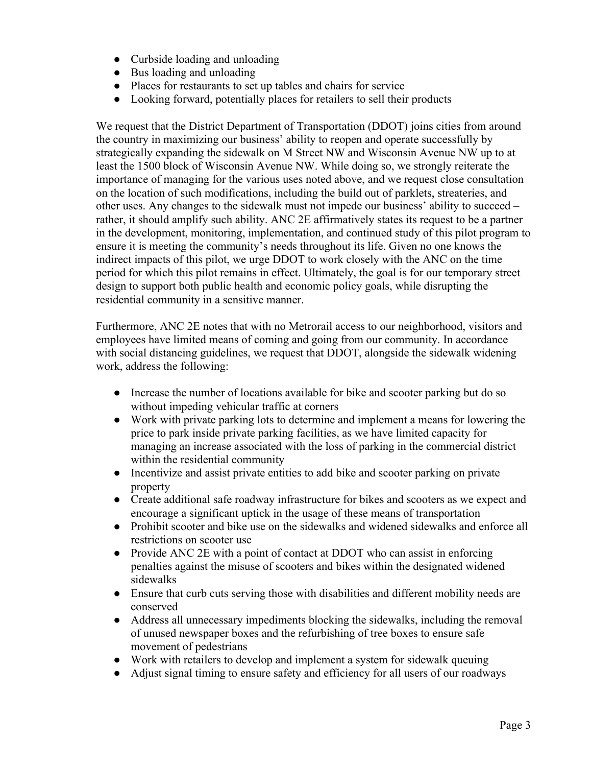- Curbside loading and unloading
- Bus loading and unloading
- Places for restaurants to set up tables and chairs for service
- Looking forward, potentially places for retailers to sell their products

We request that the District Department of Transportation (DDOT) joins cities from around the country in maximizing our business' ability to reopen and operate successfully by strategically expanding the sidewalk on M Street NW and Wisconsin Avenue NW up to at least the 1500 block of Wisconsin Avenue NW. While doing so, we strongly reiterate the importance of managing for the various uses noted above, and we request close consultation on the location of such modifications, including the build out of parklets, streateries, and other uses. Any changes to the sidewalk must not impede our business' ability to succeed – rather, it should amplify such ability. ANC 2E affirmatively states its request to be a partner in the development, monitoring, implementation, and continued study of this pilot program to ensure it is meeting the community's needs throughout its life. Given no one knows the indirect impacts of this pilot, we urge DDOT to work closely with the ANC on the time period for which this pilot remains in effect. Ultimately, the goal is for our temporary street design to support both public health and economic policy goals, while disrupting the residential community in a sensitive manner.

Furthermore, ANC 2E notes that with no Metrorail access to our neighborhood, visitors and employees have limited means of coming and going from our community. In accordance with social distancing guidelines, we request that DDOT, alongside the sidewalk widening work, address the following:

- Increase the number of locations available for bike and scooter parking but do so without impeding vehicular traffic at corners
- Work with private parking lots to determine and implement a means for lowering the price to park inside private parking facilities, as we have limited capacity for managing an increase associated with the loss of parking in the commercial district within the residential community
- Incentivize and assist private entities to add bike and scooter parking on private property
- Create additional safe roadway infrastructure for bikes and scooters as we expect and encourage a significant uptick in the usage of these means of transportation
- Prohibit scooter and bike use on the sidewalks and widened sidewalks and enforce all restrictions on scooter use
- Provide ANC 2E with a point of contact at DDOT who can assist in enforcing penalties against the misuse of scooters and bikes within the designated widened sidewalks
- Ensure that curb cuts serving those with disabilities and different mobility needs are conserved
- Address all unnecessary impediments blocking the sidewalks, including the removal of unused newspaper boxes and the refurbishing of tree boxes to ensure safe movement of pedestrians
- Work with retailers to develop and implement a system for sidewalk queuing
- Adjust signal timing to ensure safety and efficiency for all users of our roadways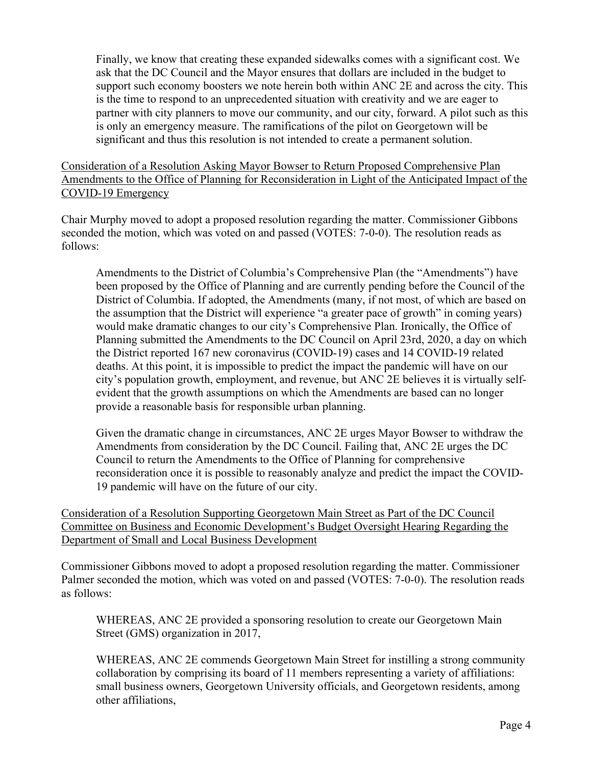Finally, we know that creating these expanded sidewalks comes with a significant cost. We ask that the DC Council and the Mayor ensures that dollars are included in the budget to support such economy boosters we note herein both within ANC 2E and across the city. This is the time to respond to an unprecedented situation with creativity and we are eager to partner with city planners to move our community, and our city, forward. A pilot such as this is only an emergency measure. The ramifications of the pilot on Georgetown will be significant and thus this resolution is not intended to create a permanent solution.

## Consideration of a Resolution Asking Mayor Bowser to Return Proposed Comprehensive Plan Amendments to the Office of Planning for Reconsideration in Light of the Anticipated Impact of the COVID-19 Emergency

Chair Murphy moved to adopt a proposed resolution regarding the matter. Commissioner Gibbons seconded the motion, which was voted on and passed (VOTES: 7-0-0). The resolution reads as follows:

Amendments to the District of Columbia's Comprehensive Plan (the "Amendments") have been proposed by the Office of Planning and are currently pending before the Council of the District of Columbia. If adopted, the Amendments (many, if not most, of which are based on the assumption that the District will experience "a greater pace of growth" in coming years) would make dramatic changes to our city's Comprehensive Plan. Ironically, the Office of Planning submitted the Amendments to the DC Council on April 23rd, 2020, a day on which the District reported 167 new coronavirus (COVID-19) cases and 14 COVID-19 related deaths. At this point, it is impossible to predict the impact the pandemic will have on our city's population growth, employment, and revenue, but ANC 2E believes it is virtually selfevident that the growth assumptions on which the Amendments are based can no longer provide a reasonable basis for responsible urban planning.

Given the dramatic change in circumstances, ANC 2E urges Mayor Bowser to withdraw the Amendments from consideration by the DC Council. Failing that, ANC 2E urges the DC Council to return the Amendments to the Office of Planning for comprehensive reconsideration once it is possible to reasonably analyze and predict the impact the COVID-19 pandemic will have on the future of our city.

Consideration of a Resolution Supporting Georgetown Main Street as Part of the DC Council Committee on Business and Economic Development's Budget Oversight Hearing Regarding the Department of Small and Local Business Development

Commissioner Gibbons moved to adopt a proposed resolution regarding the matter. Commissioner Palmer seconded the motion, which was voted on and passed (VOTES: 7-0-0). The resolution reads as follows:

WHEREAS, ANC 2E provided a sponsoring resolution to create our Georgetown Main Street (GMS) organization in 2017,

WHEREAS, ANC 2E commends Georgetown Main Street for instilling a strong community collaboration by comprising its board of 11 members representing a variety of affiliations: small business owners, Georgetown University officials, and Georgetown residents, among other affiliations,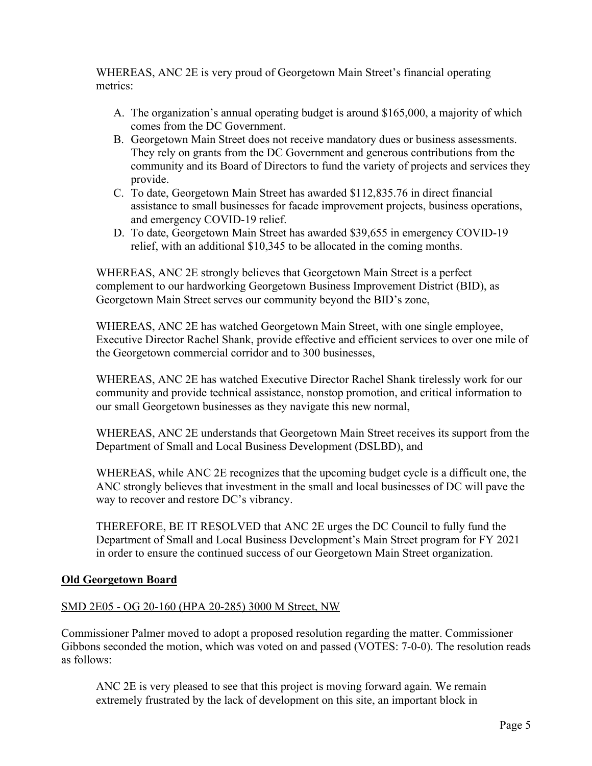WHEREAS, ANC 2E is very proud of Georgetown Main Street's financial operating metrics:

- A. The organization's annual operating budget is around \$165,000, a majority of which comes from the DC Government.
- B. Georgetown Main Street does not receive mandatory dues or business assessments. They rely on grants from the DC Government and generous contributions from the community and its Board of Directors to fund the variety of projects and services they provide.
- C. To date, Georgetown Main Street has awarded \$112,835.76 in direct financial assistance to small businesses for facade improvement projects, business operations, and emergency COVID-19 relief.
- D. To date, Georgetown Main Street has awarded \$39,655 in emergency COVID-19 relief, with an additional \$10,345 to be allocated in the coming months.

WHEREAS, ANC 2E strongly believes that Georgetown Main Street is a perfect complement to our hardworking Georgetown Business Improvement District (BID), as Georgetown Main Street serves our community beyond the BID's zone,

WHEREAS, ANC 2E has watched Georgetown Main Street, with one single employee, Executive Director Rachel Shank, provide effective and efficient services to over one mile of the Georgetown commercial corridor and to 300 businesses,

WHEREAS, ANC 2E has watched Executive Director Rachel Shank tirelessly work for our community and provide technical assistance, nonstop promotion, and critical information to our small Georgetown businesses as they navigate this new normal,

WHEREAS, ANC 2E understands that Georgetown Main Street receives its support from the Department of Small and Local Business Development (DSLBD), and

WHEREAS, while ANC 2E recognizes that the upcoming budget cycle is a difficult one, the ANC strongly believes that investment in the small and local businesses of DC will pave the way to recover and restore DC's vibrancy.

THEREFORE, BE IT RESOLVED that ANC 2E urges the DC Council to fully fund the Department of Small and Local Business Development's Main Street program for FY 2021 in order to ensure the continued success of our Georgetown Main Street organization.

# **Old Georgetown Board**

# SMD 2E05 - OG 20-160 (HPA 20-285) 3000 M Street, NW

Commissioner Palmer moved to adopt a proposed resolution regarding the matter. Commissioner Gibbons seconded the motion, which was voted on and passed (VOTES: 7-0-0). The resolution reads as follows:

ANC 2E is very pleased to see that this project is moving forward again. We remain extremely frustrated by the lack of development on this site, an important block in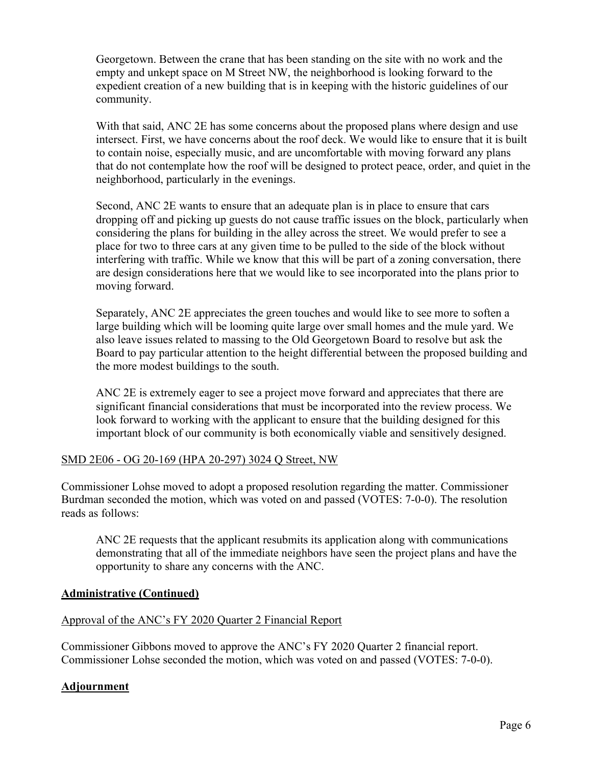Georgetown. Between the crane that has been standing on the site with no work and the empty and unkept space on M Street NW, the neighborhood is looking forward to the expedient creation of a new building that is in keeping with the historic guidelines of our community.

With that said, ANC 2E has some concerns about the proposed plans where design and use intersect. First, we have concerns about the roof deck. We would like to ensure that it is built to contain noise, especially music, and are uncomfortable with moving forward any plans that do not contemplate how the roof will be designed to protect peace, order, and quiet in the neighborhood, particularly in the evenings.

Second, ANC 2E wants to ensure that an adequate plan is in place to ensure that cars dropping off and picking up guests do not cause traffic issues on the block, particularly when considering the plans for building in the alley across the street. We would prefer to see a place for two to three cars at any given time to be pulled to the side of the block without interfering with traffic. While we know that this will be part of a zoning conversation, there are design considerations here that we would like to see incorporated into the plans prior to moving forward.

Separately, ANC 2E appreciates the green touches and would like to see more to soften a large building which will be looming quite large over small homes and the mule yard. We also leave issues related to massing to the Old Georgetown Board to resolve but ask the Board to pay particular attention to the height differential between the proposed building and the more modest buildings to the south.

ANC 2E is extremely eager to see a project move forward and appreciates that there are significant financial considerations that must be incorporated into the review process. We look forward to working with the applicant to ensure that the building designed for this important block of our community is both economically viable and sensitively designed.

#### SMD 2E06 - OG 20-169 (HPA 20-297) 3024 Q Street, NW

Commissioner Lohse moved to adopt a proposed resolution regarding the matter. Commissioner Burdman seconded the motion, which was voted on and passed (VOTES: 7-0-0). The resolution reads as follows:

ANC 2E requests that the applicant resubmits its application along with communications demonstrating that all of the immediate neighbors have seen the project plans and have the opportunity to share any concerns with the ANC.

#### **Administrative (Continued)**

#### Approval of the ANC's FY 2020 Quarter 2 Financial Report

Commissioner Gibbons moved to approve the ANC's FY 2020 Quarter 2 financial report. Commissioner Lohse seconded the motion, which was voted on and passed (VOTES: 7-0-0).

#### **Adjournment**